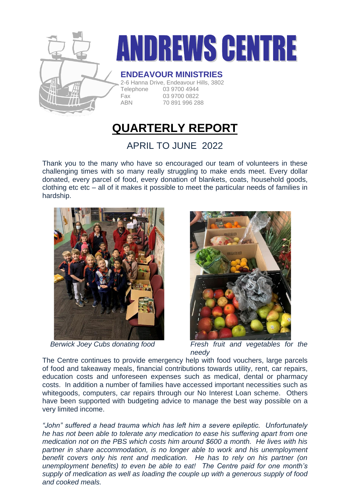

# **ANDREWS CENTRE**

### **ENDEAVOUR MINISTRIES**

2-6 Hanna Drive, Endeavour Hills, 3802 Telephone 03 9700 4944 Fax 03 9700 0822 ABN 70 891 996 288

# **QUARTERLY REPORT**

## APRIL TO JUNE 2022

Thank you to the many who have so encouraged our team of volunteers in these challenging times with so many really struggling to make ends meet. Every dollar donated, every parcel of food, every donation of blankets, coats, household goods, clothing etc etc – all of it makes it possible to meet the particular needs of families in hardship.





 *Berwick Joey Cubs donating food Fresh fruit and vegetables for the needy*

The Centre continues to provide emergency help with food vouchers, large parcels of food and takeaway meals, financial contributions towards utility, rent, car repairs, education costs and unforeseen expenses such as medical, dental or pharmacy costs. In addition a number of families have accessed important necessities such as whitegoods, computers, car repairs through our No Interest Loan scheme. Others have been supported with budgeting advice to manage the best way possible on a very limited income.

*"John" suffered a head trauma which has left him a severe epileptic. Unfortunately he has not been able to tolerate any medication to ease his suffering apart from one medication not on the PBS which costs him around \$600 a month. He lives with his partner in share accommodation, is no longer able to work and his unemployment benefit covers only his rent and medication. He has to rely on his partner (on unemployment benefits) to even be able to eat! The Centre paid for one month's supply of medication as well as loading the couple up with a generous supply of food and cooked meals.*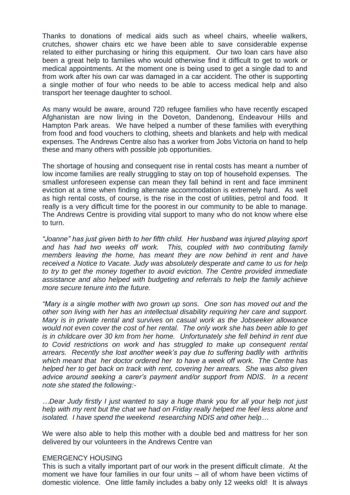Thanks to donations of medical aids such as wheel chairs, wheelie walkers, crutches, shower chairs etc we have been able to save considerable expense related to either purchasing or hiring this equipment. Our two loan cars have also been a great help to families who would otherwise find it difficult to get to work or medical appointments. At the moment one is being used to get a single dad to and from work after his own car was damaged in a car accident. The other is supporting a single mother of four who needs to be able to access medical help and also transport her teenage daughter to school.

As many would be aware, around 720 refugee families who have recently escaped Afghanistan are now living in the Doveton, Dandenong, Endeavour Hills and Hampton Park areas. We have helped a number of these families with everything from food and food vouchers to clothing, sheets and blankets and help with medical expenses. The Andrews Centre also has a worker from Jobs Victoria on hand to help these and many others with possible job opportunities.

The shortage of housing and consequent rise in rental costs has meant a number of low income families are really struggling to stay on top of household expenses. The smallest unforeseen expense can mean they fall behind in rent and face imminent eviction at a time when finding alternate accommodation is extremely hard. As well as high rental costs, of course, is the rise in the cost of utilities, petrol and food. It really is a very difficult time for the poorest in our community to be able to manage. The Andrews Centre is providing vital support to many who do not know where else to turn.

*"Joanne" has just given birth to her fifth child. Her husband was injured playing sport and has had two weeks off work. This, coupled with two contributing family members leaving the home, has meant they are now behind in rent and have received a Notice to Vacate. Judy was absolutely desperate and came to us for help to try to get the money together to avoid eviction. The Centre provided immediate assistance and also helped with budgeting and referrals to help the family achieve more secure tenure into the future.*

*"Mary is a single mother with two grown up sons. One son has moved out and the other son living with her has an intellectual disability requiring her care and support. Mary is in private rental and survives on casual work as the Jobseeker allowance would not even cover the cost of her rental. The only work she has been able to get is in childcare over 30 km from her home. Unfortunately she fell behind in rent due to Covid restrictions on work and has struggled to make up consequent rental arrears. Recently she lost another week's pay due to suffering badlly with arthritis which meant that her doctor ordered her to have a week off work. The Centre has helped her to get back on track with rent, covering her arrears. She was also given advice around seeking a carer's payment and/or support from NDIS. In a recent note she stated the following:-*

*…Dear Judy firstly I just wanted to say a huge thank you for all your help not just help with my rent but the chat we had on Friday really helped me feel less alone and isolated. I have spend the weekend researching NDIS and other help…*

We were also able to help this mother with a double bed and mattress for her son delivered by our volunteers in the Andrews Centre van

#### EMERGENCY HOUSING

This is such a vitally important part of our work in the present difficult climate. At the moment we have four families in our four units – all of whom have been victims of domestic violence. One little family includes a baby only 12 weeks old! It is always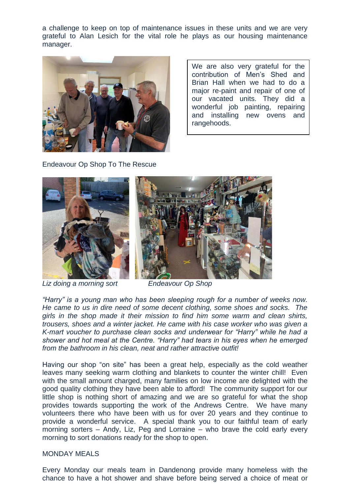a challenge to keep on top of maintenance issues in these units and we are very grateful to Alan Lesich for the vital role he plays as our housing maintenance manager.



We are also very grateful for the contribution of Men's Shed and Brian Hall when we had to do a major re-paint and repair of one of our vacated units. They did a wonderful job painting, repairing and installing new ovens and rangehoods.

Endeavour Op Shop To The Rescue



*Liz doing a morning sort Endeavour Op Shop*

*"Harry" is a young man who has been sleeping rough for a number of weeks now. He came to us in dire need of some decent clothing, some shoes and socks. The girls in the shop made it their mission to find him some warm and clean shirts, trousers, shoes and a winter jacket. He came with his case worker who was given a K-mart voucher to purchase clean socks and underwear for "Harry" while he had a shower and hot meal at the Centre. "Harry" had tears in his eyes when he emerged from the bathroom in his clean, neat and rather attractive outfit!* 

Having our shop "on site" has been a great help, especially as the cold weather leaves many seeking warm clothing and blankets to counter the winter chill! Even with the small amount charged, many families on low income are delighted with the good quality clothing they have been able to afford! The community support for our little shop is nothing short of amazing and we are so grateful for what the shop provides towards supporting the work of the Andrews Centre. We have many volunteers there who have been with us for over 20 years and they continue to provide a wonderful service. A special thank you to our faithful team of early morning sorters – Andy, Liz, Peg and Lorraine – who brave the cold early every morning to sort donations ready for the shop to open.

#### MONDAY MEALS

Every Monday our meals team in Dandenong provide many homeless with the chance to have a hot shower and shave before being served a choice of meat or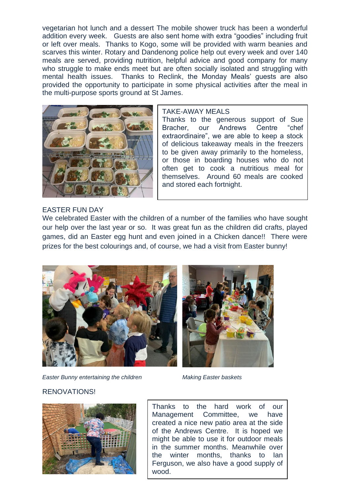vegetarian hot lunch and a dessert The mobile shower truck has been a wonderful addition every week. Guests are also sent home with extra "goodies" including fruit or left over meals. Thanks to Kogo, some will be provided with warm beanies and scarves this winter. Rotary and Dandenong police help out every week and over 140 meals are served, providing nutrition, helpful advice and good company for many who struggle to make ends meet but are often socially isolated and struggling with mental health issues. Thanks to Reclink, the Monday Meals' quests are also provided the opportunity to participate in some physical activities after the meal in the multi-purpose sports ground at St James.



#### TAKE-AWAY MEALS

Thanks to the generous support of Sue Bracher, our Andrews Centre "chef extraordinaire", we are able to keep a stock of delicious takeaway meals in the freezers to be given away primarily to the homeless, or those in boarding houses who do not often get to cook a nutritious meal for themselves. Around 60 meals are cooked and stored each fortnight.

#### EASTER FUN DAY

We celebrated Easter with the children of a number of the families who have sought our help over the last year or so. It was great fun as the children did crafts, played games, did an Easter egg hunt and even joined in a Chicken dance!! There were prizes for the best colourings and, of course, we had a visit from Easter bunny!





*Easter Bunny entertaining the children Making Easter baskets*

#### RENOVATIONS!



Thanks to the hard work of our Management Committee, we have created a nice new patio area at the side of the Andrews Centre. It is hoped we might be able to use it for outdoor meals in the summer months. Meanwhile over the winter months, thanks to Ian Ferguson, we also have a good supply of wood.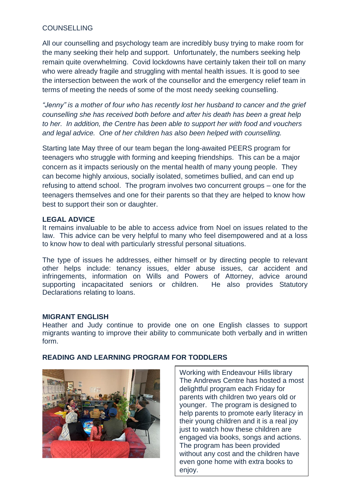#### COUNSELLING

All our counselling and psychology team are incredibly busy trying to make room for the many seeking their help and support. Unfortunately, the numbers seeking help remain quite overwhelming. Covid lockdowns have certainly taken their toll on many who were already fragile and struggling with mental health issues. It is good to see the intersection between the work of the counsellor and the emergency relief team in terms of meeting the needs of some of the most needy seeking counselling.

*"Jenny" is a mother of four who has recently lost her husband to cancer and the grief counselling she has received both before and after his death has been a great help to her. In addition, the Centre has been able to support her with food and vouchers and legal advice. One of her children has also been helped with counselling.*

Starting late May three of our team began the long-awaited PEERS program for teenagers who struggle with forming and keeping friendships. This can be a major concern as it impacts seriously on the mental health of many young people. They can become highly anxious, socially isolated, sometimes bullied, and can end up refusing to attend school. The program involves two concurrent groups – one for the teenagers themselves and one for their parents so that they are helped to know how best to support their son or daughter.

#### **LEGAL ADVICE**

It remains invaluable to be able to access advice from Noel on issues related to the law. This advice can be very helpful to many who feel disempowered and at a loss to know how to deal with particularly stressful personal situations.

The type of issues he addresses, either himself or by directing people to relevant other helps include: tenancy issues, elder abuse issues, car accident and infringements, information on Wills and Powers of Attorney, advice around supporting incapacitated seniors or children. He also provides Statutory Declarations relating to loans.

#### **MIGRANT ENGLISH**

Heather and Judy continue to provide one on one English classes to support migrants wanting to improve their ability to communicate both verbally and in written form.



#### **READING AND LEARNING PROGRAM FOR TODDLERS**

Working with Endeavour Hills library The Andrews Centre has hosted a most delightful program each Friday for parents with children two years old or younger. The program is designed to help parents to promote early literacy in their young children and it is a real joy just to watch how these children are engaged via books, songs and actions. The program has been provided without any cost and the children have even gone home with extra books to enjoy.